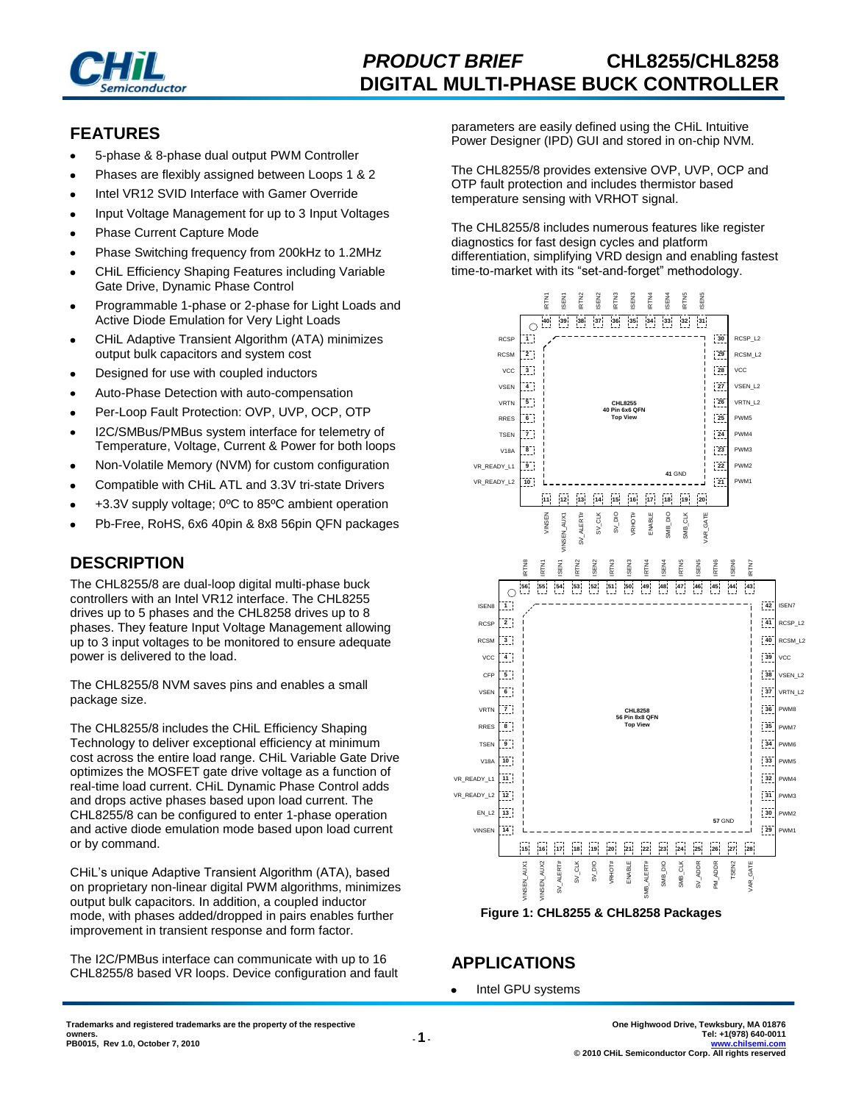

### **FEATURES**

- 5-phase & 8-phase dual output PWM Controller
- Phases are flexibly assigned between Loops 1 & 2
- Intel VR12 SVID Interface with Gamer Override
- Input Voltage Management for up to 3 Input Voltages
- Phase Current Capture Mode
- Phase Switching frequency from 200kHz to 1.2MHz
- CHiL Efficiency Shaping Features including Variable Gate Drive, Dynamic Phase Control
- Programmable 1-phase or 2-phase for Light Loads and Active Diode Emulation for Very Light Loads
- CHiL Adaptive Transient Algorithm (ATA) minimizes output bulk capacitors and system cost
- Designed for use with coupled inductors
- Auto-Phase Detection with auto-compensation
- Per-Loop Fault Protection: OVP, UVP, OCP, OTP
- I2C/SMBus/PMBus system interface for telemetry of Temperature, Voltage, Current & Power for both loops
- Non-Volatile Memory (NVM) for custom configuration
- Compatible with CHiL ATL and 3.3V tri-state Drivers
- +3.3V supply voltage; 0ºC to 85ºC ambient operation
- Pb-Free, RoHS, 6x6 40pin & 8x8 56pin QFN packages

# **DESCRIPTION**

The CHL8255/8 are dual-loop digital multi-phase buck controllers with an Intel VR12 interface. The CHL8255 drives up to 5 phases and the CHL8258 drives up to 8 phases. They feature Input Voltage Management allowing up to 3 input voltages to be monitored to ensure adequate power is delivered to the load.

The CHL8255/8 NVM saves pins and enables a small package size.

The CHL8255/8 includes the CHiL Efficiency Shaping Technology to deliver exceptional efficiency at minimum cost across the entire load range. CHiL Variable Gate Drive optimizes the MOSFET gate drive voltage as a function of real-time load current. CHiL Dynamic Phase Control adds and drops active phases based upon load current. The CHL8255/8 can be configured to enter 1-phase operation and active diode emulation mode based upon load current or by command.

CHiL's unique Adaptive Transient Algorithm (ATA), based on proprietary non-linear digital PWM algorithms, minimizes output bulk capacitors. In addition, a coupled inductor mode, with phases added/dropped in pairs enables further improvement in transient response and form factor.

The I2C/PMBus interface can communicate with up to 16 CHL8255/8 based VR loops. Device configuration and fault parameters are easily defined using the CHiL Intuitive Power Designer (IPD) GUI and stored in on-chip NVM.

The CHL8255/8 provides extensive OVP, UVP, OCP and OTP fault protection and includes thermistor based temperature sensing with VRHOT signal.

The CHL8255/8 includes numerous features like register diagnostics for fast design cycles and platform differentiation, simplifying VRD design and enabling fastest time-to-market with its "set-and-forget" methodology.



**Figure 1: CHL8255 & CHL8258 Packages**

# **APPLICATIONS**

Intel GPU systems